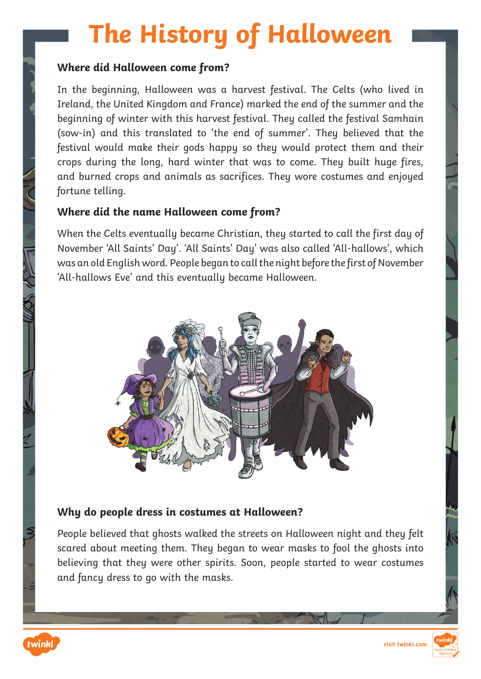# **The History of Halloween**

#### **Where did Halloween come from?**

In the beginning, Halloween was a harvest festival. The Celts (who lived in Ireland, the United Kingdom and France) marked the end of the summer and the beginning of winter with this harvest festival. They called the festival Samhain (sow-in) and this translated to 'the end of summer'. They believed that the festival would make their gods happy so they would protect them and their crops during the long, hard winter that was to come. They built huge fires, and burned crops and animals as sacrifices. They wore costumes and enjoyed fortune telling.

#### **Where did the name Halloween come from?**

When the Celts eventually became Christian, they started to call the first day of November 'All Saints' Day'. 'All Saints' Day' was also called 'All-hallows', which was an old English word. People began to call the night before the first of November 'All-hallows Eve' and this eventually became Halloween.



#### **Why do people dress in costumes at Halloween?**

People believed that ghosts walked the streets on Halloween night and they felt scared about meeting them. They began to wear masks to fool the ghosts into believing that they were other spirits. Soon, people started to wear costumes and fancy dress to go with the masks.



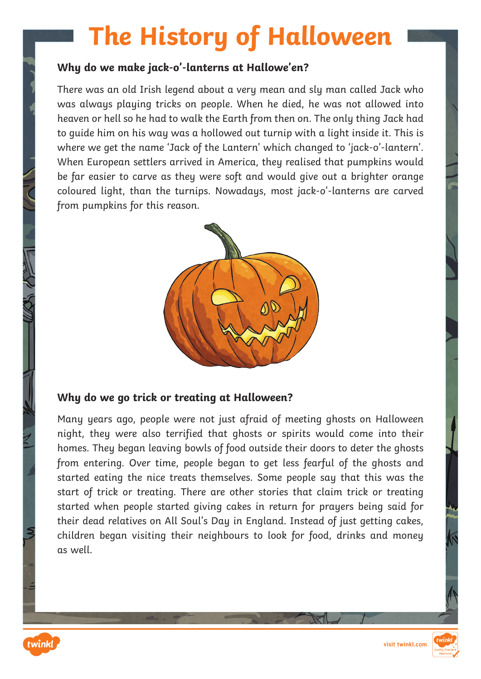# **The History of Halloween**

#### **Why do we make jack-o'-lanterns at Hallowe'en?**

There was an old Irish legend about a very mean and sly man called Jack who was always playing tricks on people. When he died, he was not allowed into heaven or hell so he had to walk the Earth from then on. The only thing Jack had to guide him on his way was a hollowed out turnip with a light inside it. This is where we get the name 'Jack of the Lantern' which changed to 'jack-o'-lantern'. When European settlers arrived in America, they realised that pumpkins would be far easier to carve as they were soft and would give out a brighter orange coloured light, than the turnips. Nowadays, most jack-o'-lanterns are carved from pumpkins for this reason.



#### **Why do we go trick or treating at Halloween?**

Many years ago, people were not just afraid of meeting ghosts on Halloween night, they were also terrified that ghosts or spirits would come into their homes. They began leaving bowls of food outside their doors to deter the ghosts from entering. Over time, people began to get less fearful of the ghosts and started eating the nice treats themselves. Some people say that this was the start of trick or treating. There are other stories that claim trick or treating started when people started giving cakes in return for prayers being said for their dead relatives on All Soul's Day in England. Instead of just getting cakes, children began visiting their neighbours to look for food, drinks and money as well.

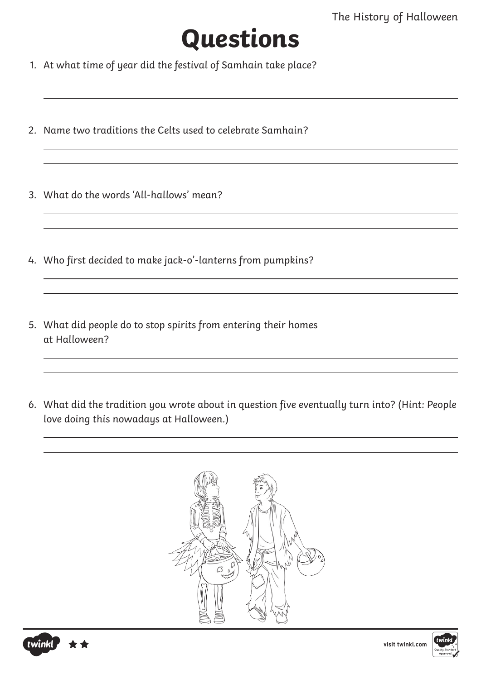

- 1. At what time of year did the festival of Samhain take place?
- 2. Name two traditions the Celts used to celebrate Samhain?
- 3. What do the words 'All-hallows' mean?
- 4. Who first decided to make jack-o'-lanterns from pumpkins?
- 5. What did people do to stop spirits from entering their homes at Halloween?
- 6. What did the tradition you wrote about in question five eventually turn into? (Hint: People love doing this nowadays at Halloween.)







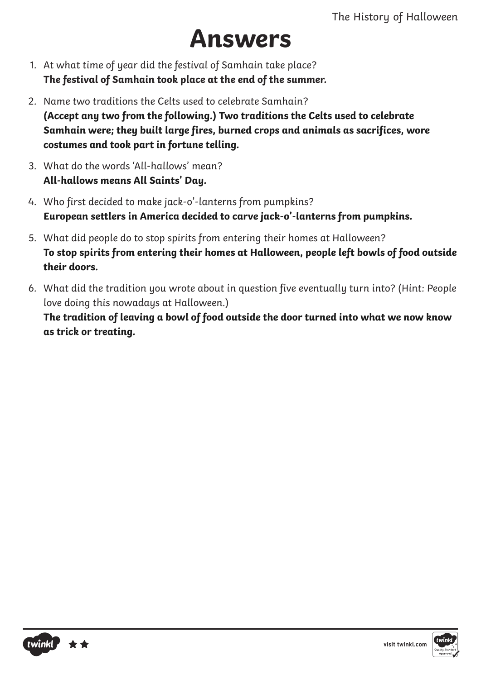### **Answers**

- 1. At what time of year did the festival of Samhain take place? **The festival of Samhain took place at the end of the summer.**
- 2. Name two traditions the Celts used to celebrate Samhain? **(Accept any two from the following.) Two traditions the Celts used to celebrate Samhain were; they built large fires, burned crops and animals as sacrifices, wore costumes and took part in fortune telling.**
- 3. What do the words 'All-hallows' mean? **All-hallows means All Saints' Day.**
- 4. Who first decided to make jack-o'-lanterns from pumpkins? **European settlers in America decided to carve jack-o'-lanterns from pumpkins.**
- 5. What did people do to stop spirits from entering their homes at Halloween? **To stop spirits from entering their homes at Halloween, people left bowls of food outside their doors.**
- 6. What did the tradition you wrote about in question five eventually turn into? (Hint: People love doing this nowadays at Halloween.)

**The tradition of leaving a bowl of food outside the door turned into what we now know as trick or treating.**



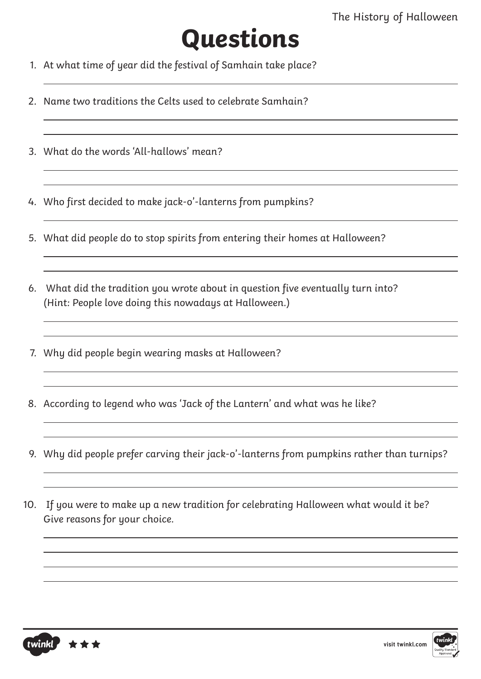# **Questions**

- 1. At what time of year did the festival of Samhain take place?
- 2. Name two traditions the Celts used to celebrate Samhain?
- 3. What do the words 'All-hallows' mean?
- 4. Who first decided to make jack-o'-lanterns from pumpkins?
- 5. What did people do to stop spirits from entering their homes at Halloween?
- 6. What did the tradition you wrote about in question five eventually turn into? (Hint: People love doing this nowadays at Halloween.)
- 7. Why did people begin wearing masks at Halloween?
- 8. According to legend who was 'Jack of the Lantern' and what was he like?
- 9. Why did people prefer carving their jack-o'-lanterns from pumpkins rather than turnips?
- 10. If you were to make up a new tradition for celebrating Halloween what would it be? Give reasons for your choice.